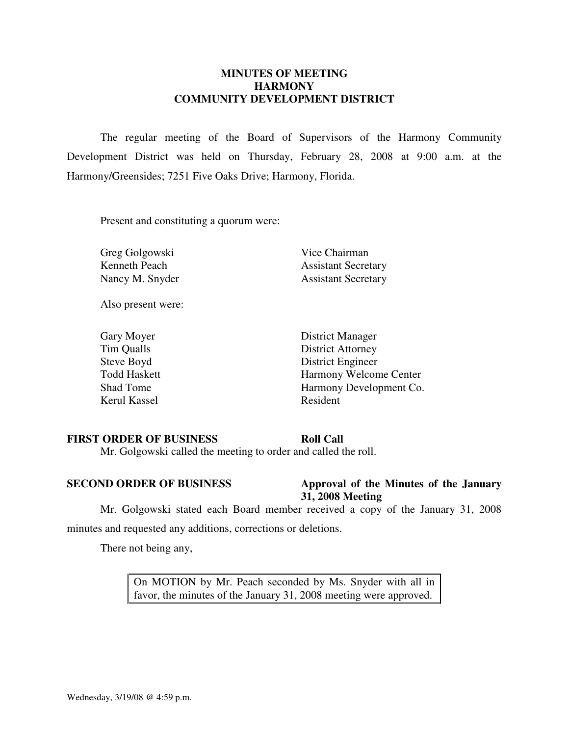# **MINUTES OF MEETING HARMONY COMMUNITY DEVELOPMENT DISTRICT**

 The regular meeting of the Board of Supervisors of the Harmony Community Development District was held on Thursday, February 28, 2008 at 9:00 a.m. at the Harmony/Greensides; 7251 Five Oaks Drive; Harmony, Florida.

Present and constituting a quorum were:

Greg Golgowski Vice Chairman

Kenneth Peach Assistant Secretary Nancy M. Snyder Assistant Secretary

Also present were:

Kerul Kassel Resident

Gary Moyer District Manager Tim Qualls District Attorney Steve Boyd District Engineer Todd Haskett Harmony Welcome Center Shad Tome Harmony Development Co.

#### **FIRST ORDER OF BUSINESS Roll Call**

Mr. Golgowski called the meeting to order and called the roll.

### **SECOND ORDER OF BUSINESS** Approval of the Minutes of the January **31, 2008 Meeting**

 Mr. Golgowski stated each Board member received a copy of the January 31, 2008 minutes and requested any additions, corrections or deletions.

There not being any,

On MOTION by Mr. Peach seconded by Ms. Snyder with all in favor, the minutes of the January 31, 2008 meeting were approved.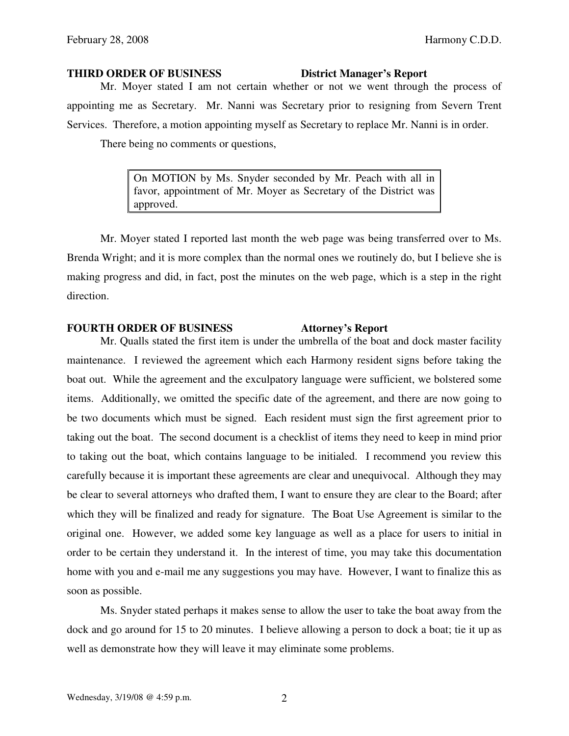#### **THIRD ORDER OF BUSINESS District Manager's Report**

 Mr. Moyer stated I am not certain whether or not we went through the process of appointing me as Secretary. Mr. Nanni was Secretary prior to resigning from Severn Trent Services. Therefore, a motion appointing myself as Secretary to replace Mr. Nanni is in order.

There being no comments or questions,

On MOTION by Ms. Snyder seconded by Mr. Peach with all in favor, appointment of Mr. Moyer as Secretary of the District was approved.

 Mr. Moyer stated I reported last month the web page was being transferred over to Ms. Brenda Wright; and it is more complex than the normal ones we routinely do, but I believe she is making progress and did, in fact, post the minutes on the web page, which is a step in the right direction.

# **FOURTH ORDER OF BUSINESS Attorney's Report**

 Mr. Qualls stated the first item is under the umbrella of the boat and dock master facility maintenance. I reviewed the agreement which each Harmony resident signs before taking the boat out. While the agreement and the exculpatory language were sufficient, we bolstered some items. Additionally, we omitted the specific date of the agreement, and there are now going to be two documents which must be signed. Each resident must sign the first agreement prior to taking out the boat. The second document is a checklist of items they need to keep in mind prior to taking out the boat, which contains language to be initialed. I recommend you review this carefully because it is important these agreements are clear and unequivocal. Although they may be clear to several attorneys who drafted them, I want to ensure they are clear to the Board; after which they will be finalized and ready for signature. The Boat Use Agreement is similar to the original one. However, we added some key language as well as a place for users to initial in order to be certain they understand it. In the interest of time, you may take this documentation home with you and e-mail me any suggestions you may have. However, I want to finalize this as soon as possible.

 Ms. Snyder stated perhaps it makes sense to allow the user to take the boat away from the dock and go around for 15 to 20 minutes. I believe allowing a person to dock a boat; tie it up as well as demonstrate how they will leave it may eliminate some problems.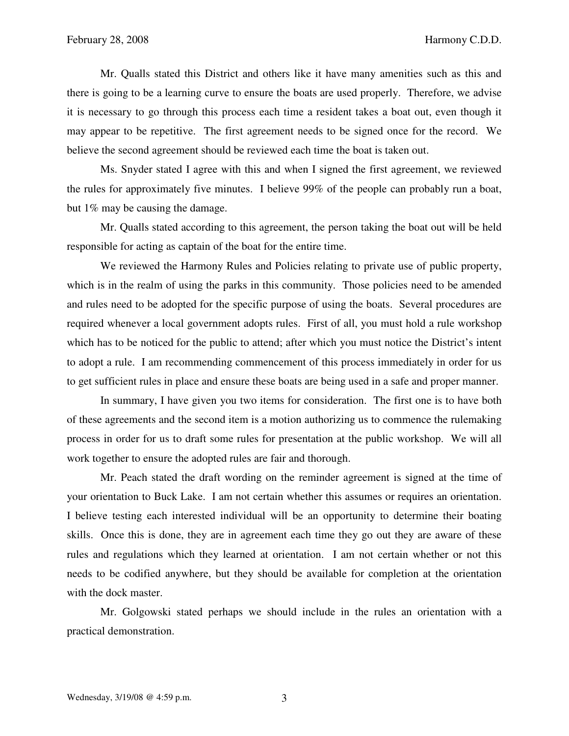Mr. Qualls stated this District and others like it have many amenities such as this and there is going to be a learning curve to ensure the boats are used properly. Therefore, we advise it is necessary to go through this process each time a resident takes a boat out, even though it may appear to be repetitive. The first agreement needs to be signed once for the record. We believe the second agreement should be reviewed each time the boat is taken out.

 Ms. Snyder stated I agree with this and when I signed the first agreement, we reviewed the rules for approximately five minutes. I believe 99% of the people can probably run a boat, but 1% may be causing the damage.

 Mr. Qualls stated according to this agreement, the person taking the boat out will be held responsible for acting as captain of the boat for the entire time.

We reviewed the Harmony Rules and Policies relating to private use of public property, which is in the realm of using the parks in this community. Those policies need to be amended and rules need to be adopted for the specific purpose of using the boats. Several procedures are required whenever a local government adopts rules. First of all, you must hold a rule workshop which has to be noticed for the public to attend; after which you must notice the District's intent to adopt a rule. I am recommending commencement of this process immediately in order for us to get sufficient rules in place and ensure these boats are being used in a safe and proper manner.

In summary, I have given you two items for consideration. The first one is to have both of these agreements and the second item is a motion authorizing us to commence the rulemaking process in order for us to draft some rules for presentation at the public workshop. We will all work together to ensure the adopted rules are fair and thorough.

 Mr. Peach stated the draft wording on the reminder agreement is signed at the time of your orientation to Buck Lake. I am not certain whether this assumes or requires an orientation. I believe testing each interested individual will be an opportunity to determine their boating skills. Once this is done, they are in agreement each time they go out they are aware of these rules and regulations which they learned at orientation. I am not certain whether or not this needs to be codified anywhere, but they should be available for completion at the orientation with the dock master.

 Mr. Golgowski stated perhaps we should include in the rules an orientation with a practical demonstration.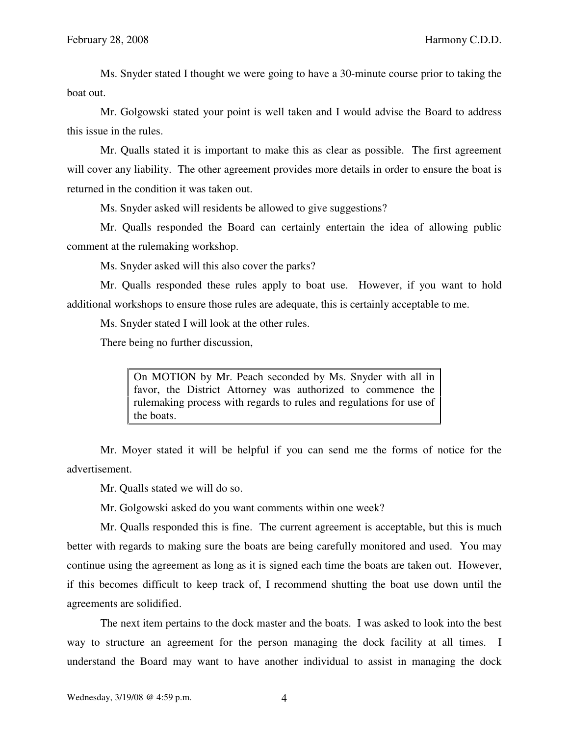Ms. Snyder stated I thought we were going to have a 30-minute course prior to taking the boat out.

 Mr. Golgowski stated your point is well taken and I would advise the Board to address this issue in the rules.

 Mr. Qualls stated it is important to make this as clear as possible. The first agreement will cover any liability. The other agreement provides more details in order to ensure the boat is returned in the condition it was taken out.

Ms. Snyder asked will residents be allowed to give suggestions?

 Mr. Qualls responded the Board can certainly entertain the idea of allowing public comment at the rulemaking workshop.

Ms. Snyder asked will this also cover the parks?

 Mr. Qualls responded these rules apply to boat use. However, if you want to hold additional workshops to ensure those rules are adequate, this is certainly acceptable to me.

Ms. Snyder stated I will look at the other rules.

There being no further discussion,

On MOTION by Mr. Peach seconded by Ms. Snyder with all in favor, the District Attorney was authorized to commence the rulemaking process with regards to rules and regulations for use of the boats.

 Mr. Moyer stated it will be helpful if you can send me the forms of notice for the advertisement.

Mr. Qualls stated we will do so.

Mr. Golgowski asked do you want comments within one week?

 Mr. Qualls responded this is fine. The current agreement is acceptable, but this is much better with regards to making sure the boats are being carefully monitored and used. You may continue using the agreement as long as it is signed each time the boats are taken out. However, if this becomes difficult to keep track of, I recommend shutting the boat use down until the agreements are solidified.

 The next item pertains to the dock master and the boats. I was asked to look into the best way to structure an agreement for the person managing the dock facility at all times. I understand the Board may want to have another individual to assist in managing the dock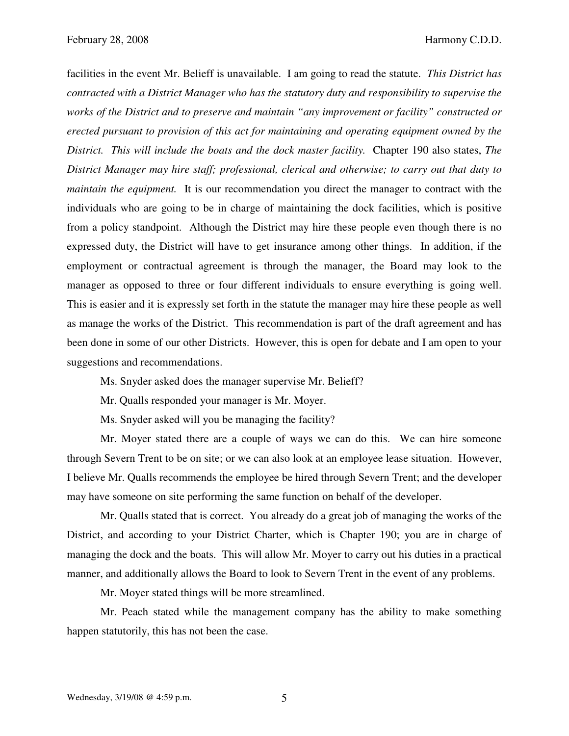facilities in the event Mr. Belieff is unavailable. I am going to read the statute. *This District has contracted with a District Manager who has the statutory duty and responsibility to supervise the works of the District and to preserve and maintain "any improvement or facility" constructed or erected pursuant to provision of this act for maintaining and operating equipment owned by the District. This will include the boats and the dock master facility.* Chapter 190 also states, *The District Manager may hire staff; professional, clerical and otherwise; to carry out that duty to maintain the equipment.* It is our recommendation you direct the manager to contract with the individuals who are going to be in charge of maintaining the dock facilities, which is positive from a policy standpoint. Although the District may hire these people even though there is no expressed duty, the District will have to get insurance among other things. In addition, if the employment or contractual agreement is through the manager, the Board may look to the manager as opposed to three or four different individuals to ensure everything is going well. This is easier and it is expressly set forth in the statute the manager may hire these people as well as manage the works of the District. This recommendation is part of the draft agreement and has been done in some of our other Districts. However, this is open for debate and I am open to your suggestions and recommendations.

Ms. Snyder asked does the manager supervise Mr. Belieff?

Mr. Qualls responded your manager is Mr. Moyer.

Ms. Snyder asked will you be managing the facility?

 Mr. Moyer stated there are a couple of ways we can do this. We can hire someone through Severn Trent to be on site; or we can also look at an employee lease situation. However, I believe Mr. Qualls recommends the employee be hired through Severn Trent; and the developer may have someone on site performing the same function on behalf of the developer.

 Mr. Qualls stated that is correct. You already do a great job of managing the works of the District, and according to your District Charter, which is Chapter 190; you are in charge of managing the dock and the boats. This will allow Mr. Moyer to carry out his duties in a practical manner, and additionally allows the Board to look to Severn Trent in the event of any problems.

Mr. Moyer stated things will be more streamlined.

 Mr. Peach stated while the management company has the ability to make something happen statutorily, this has not been the case.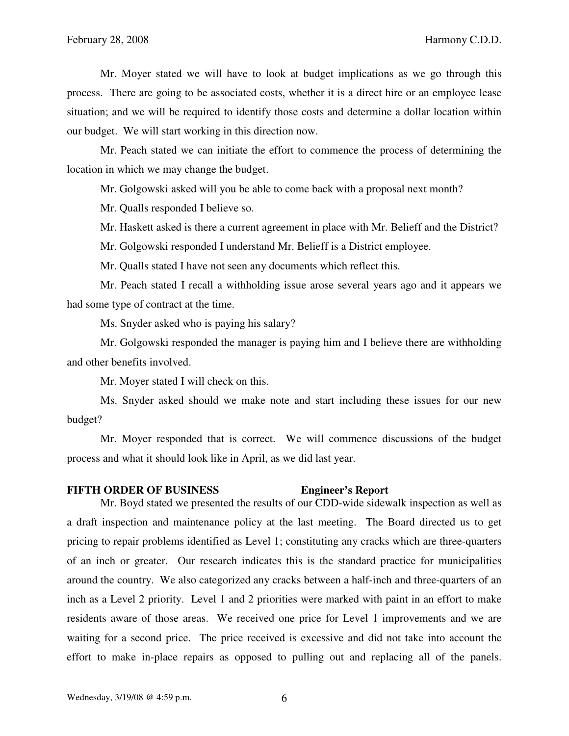Mr. Moyer stated we will have to look at budget implications as we go through this process. There are going to be associated costs, whether it is a direct hire or an employee lease situation; and we will be required to identify those costs and determine a dollar location within our budget. We will start working in this direction now.

 Mr. Peach stated we can initiate the effort to commence the process of determining the location in which we may change the budget.

Mr. Golgowski asked will you be able to come back with a proposal next month?

Mr. Qualls responded I believe so.

Mr. Haskett asked is there a current agreement in place with Mr. Belieff and the District?

Mr. Golgowski responded I understand Mr. Belieff is a District employee.

Mr. Qualls stated I have not seen any documents which reflect this.

 Mr. Peach stated I recall a withholding issue arose several years ago and it appears we had some type of contract at the time.

Ms. Snyder asked who is paying his salary?

 Mr. Golgowski responded the manager is paying him and I believe there are withholding and other benefits involved.

Mr. Moyer stated I will check on this.

 Ms. Snyder asked should we make note and start including these issues for our new budget?

 Mr. Moyer responded that is correct. We will commence discussions of the budget process and what it should look like in April, as we did last year.

#### **FIFTH ORDER OF BUSINESS Engineer's Report**

 Mr. Boyd stated we presented the results of our CDD-wide sidewalk inspection as well as a draft inspection and maintenance policy at the last meeting. The Board directed us to get pricing to repair problems identified as Level 1; constituting any cracks which are three-quarters of an inch or greater. Our research indicates this is the standard practice for municipalities around the country. We also categorized any cracks between a half-inch and three-quarters of an inch as a Level 2 priority. Level 1 and 2 priorities were marked with paint in an effort to make residents aware of those areas. We received one price for Level 1 improvements and we are waiting for a second price. The price received is excessive and did not take into account the effort to make in-place repairs as opposed to pulling out and replacing all of the panels.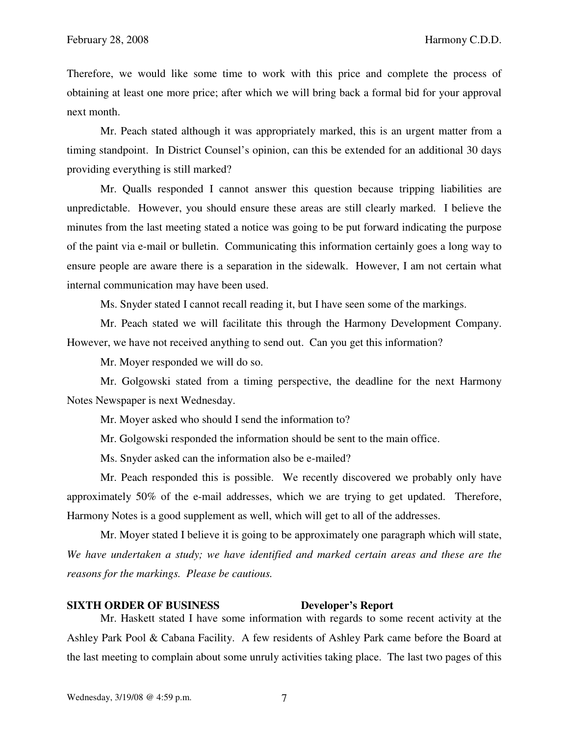Therefore, we would like some time to work with this price and complete the process of obtaining at least one more price; after which we will bring back a formal bid for your approval next month.

 Mr. Peach stated although it was appropriately marked, this is an urgent matter from a timing standpoint. In District Counsel's opinion, can this be extended for an additional 30 days providing everything is still marked?

 Mr. Qualls responded I cannot answer this question because tripping liabilities are unpredictable. However, you should ensure these areas are still clearly marked. I believe the minutes from the last meeting stated a notice was going to be put forward indicating the purpose of the paint via e-mail or bulletin. Communicating this information certainly goes a long way to ensure people are aware there is a separation in the sidewalk. However, I am not certain what internal communication may have been used.

Ms. Snyder stated I cannot recall reading it, but I have seen some of the markings.

 Mr. Peach stated we will facilitate this through the Harmony Development Company. However, we have not received anything to send out. Can you get this information?

Mr. Moyer responded we will do so.

 Mr. Golgowski stated from a timing perspective, the deadline for the next Harmony Notes Newspaper is next Wednesday.

Mr. Moyer asked who should I send the information to?

Mr. Golgowski responded the information should be sent to the main office.

Ms. Snyder asked can the information also be e-mailed?

 Mr. Peach responded this is possible. We recently discovered we probably only have approximately 50% of the e-mail addresses, which we are trying to get updated. Therefore, Harmony Notes is a good supplement as well, which will get to all of the addresses.

 Mr. Moyer stated I believe it is going to be approximately one paragraph which will state, *We have undertaken a study; we have identified and marked certain areas and these are the reasons for the markings. Please be cautious.*

### **SIXTH ORDER OF BUSINESS Developer's Report**

 Mr. Haskett stated I have some information with regards to some recent activity at the Ashley Park Pool & Cabana Facility. A few residents of Ashley Park came before the Board at the last meeting to complain about some unruly activities taking place. The last two pages of this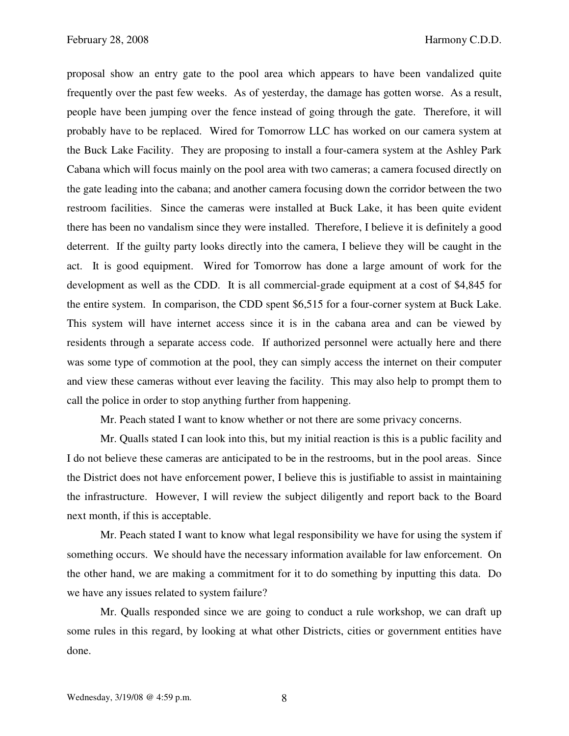proposal show an entry gate to the pool area which appears to have been vandalized quite frequently over the past few weeks. As of yesterday, the damage has gotten worse. As a result, people have been jumping over the fence instead of going through the gate. Therefore, it will probably have to be replaced. Wired for Tomorrow LLC has worked on our camera system at the Buck Lake Facility. They are proposing to install a four-camera system at the Ashley Park Cabana which will focus mainly on the pool area with two cameras; a camera focused directly on the gate leading into the cabana; and another camera focusing down the corridor between the two restroom facilities. Since the cameras were installed at Buck Lake, it has been quite evident there has been no vandalism since they were installed. Therefore, I believe it is definitely a good deterrent. If the guilty party looks directly into the camera, I believe they will be caught in the act. It is good equipment. Wired for Tomorrow has done a large amount of work for the development as well as the CDD. It is all commercial-grade equipment at a cost of \$4,845 for the entire system. In comparison, the CDD spent \$6,515 for a four-corner system at Buck Lake. This system will have internet access since it is in the cabana area and can be viewed by residents through a separate access code. If authorized personnel were actually here and there was some type of commotion at the pool, they can simply access the internet on their computer and view these cameras without ever leaving the facility. This may also help to prompt them to call the police in order to stop anything further from happening.

Mr. Peach stated I want to know whether or not there are some privacy concerns.

 Mr. Qualls stated I can look into this, but my initial reaction is this is a public facility and I do not believe these cameras are anticipated to be in the restrooms, but in the pool areas. Since the District does not have enforcement power, I believe this is justifiable to assist in maintaining the infrastructure. However, I will review the subject diligently and report back to the Board next month, if this is acceptable.

 Mr. Peach stated I want to know what legal responsibility we have for using the system if something occurs. We should have the necessary information available for law enforcement. On the other hand, we are making a commitment for it to do something by inputting this data. Do we have any issues related to system failure?

 Mr. Qualls responded since we are going to conduct a rule workshop, we can draft up some rules in this regard, by looking at what other Districts, cities or government entities have done.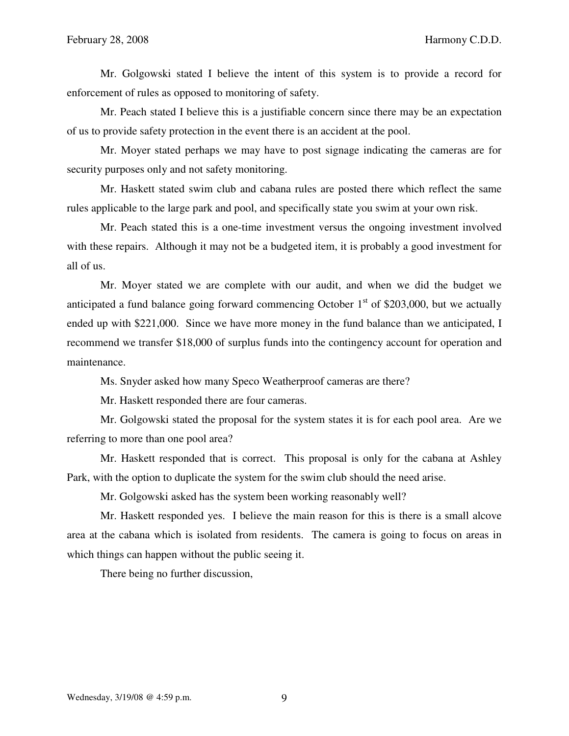Mr. Golgowski stated I believe the intent of this system is to provide a record for enforcement of rules as opposed to monitoring of safety.

 Mr. Peach stated I believe this is a justifiable concern since there may be an expectation of us to provide safety protection in the event there is an accident at the pool.

 Mr. Moyer stated perhaps we may have to post signage indicating the cameras are for security purposes only and not safety monitoring.

 Mr. Haskett stated swim club and cabana rules are posted there which reflect the same rules applicable to the large park and pool, and specifically state you swim at your own risk.

 Mr. Peach stated this is a one-time investment versus the ongoing investment involved with these repairs. Although it may not be a budgeted item, it is probably a good investment for all of us.

 Mr. Moyer stated we are complete with our audit, and when we did the budget we anticipated a fund balance going forward commencing October  $1<sup>st</sup>$  of \$203,000, but we actually ended up with \$221,000. Since we have more money in the fund balance than we anticipated, I recommend we transfer \$18,000 of surplus funds into the contingency account for operation and maintenance.

Ms. Snyder asked how many Speco Weatherproof cameras are there?

Mr. Haskett responded there are four cameras.

 Mr. Golgowski stated the proposal for the system states it is for each pool area. Are we referring to more than one pool area?

 Mr. Haskett responded that is correct. This proposal is only for the cabana at Ashley Park, with the option to duplicate the system for the swim club should the need arise.

Mr. Golgowski asked has the system been working reasonably well?

 Mr. Haskett responded yes. I believe the main reason for this is there is a small alcove area at the cabana which is isolated from residents. The camera is going to focus on areas in which things can happen without the public seeing it.

There being no further discussion,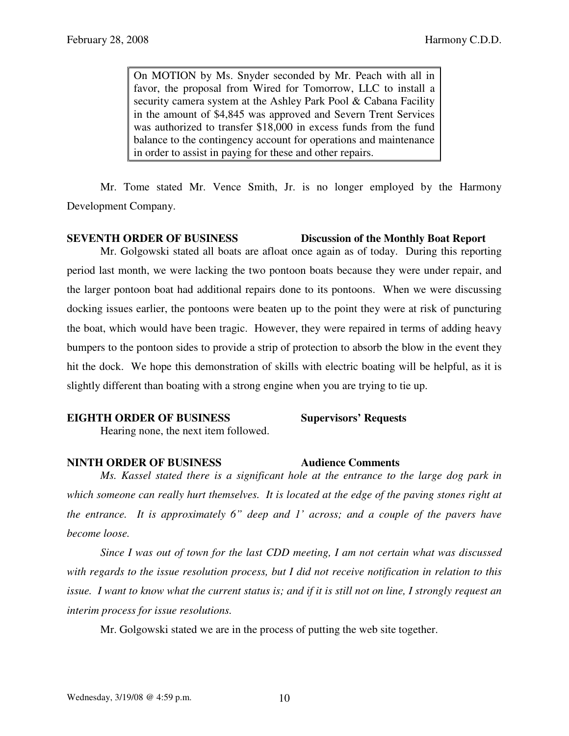On MOTION by Ms. Snyder seconded by Mr. Peach with all in favor, the proposal from Wired for Tomorrow, LLC to install a security camera system at the Ashley Park Pool & Cabana Facility in the amount of \$4,845 was approved and Severn Trent Services was authorized to transfer \$18,000 in excess funds from the fund balance to the contingency account for operations and maintenance in order to assist in paying for these and other repairs.

 Mr. Tome stated Mr. Vence Smith, Jr. is no longer employed by the Harmony Development Company.

# **SEVENTH ORDER OF BUSINESS Discussion of the Monthly Boat Report**

 Mr. Golgowski stated all boats are afloat once again as of today. During this reporting period last month, we were lacking the two pontoon boats because they were under repair, and the larger pontoon boat had additional repairs done to its pontoons. When we were discussing docking issues earlier, the pontoons were beaten up to the point they were at risk of puncturing the boat, which would have been tragic. However, they were repaired in terms of adding heavy bumpers to the pontoon sides to provide a strip of protection to absorb the blow in the event they hit the dock. We hope this demonstration of skills with electric boating will be helpful, as it is slightly different than boating with a strong engine when you are trying to tie up.

### **EIGHTH ORDER OF BUSINESS** Supervisors' Requests

Hearing none, the next item followed.

# **NINTH ORDER OF BUSINESS 4udience Comments**

 *Ms. Kassel stated there is a significant hole at the entrance to the large dog park in which someone can really hurt themselves. It is located at the edge of the paving stones right at the entrance. It is approximately 6" deep and 1' across; and a couple of the pavers have become loose.* 

*Since I was out of town for the last CDD meeting, I am not certain what was discussed with regards to the issue resolution process, but I did not receive notification in relation to this issue. I want to know what the current status is; and if it is still not on line, I strongly request an interim process for issue resolutions.* 

Mr. Golgowski stated we are in the process of putting the web site together.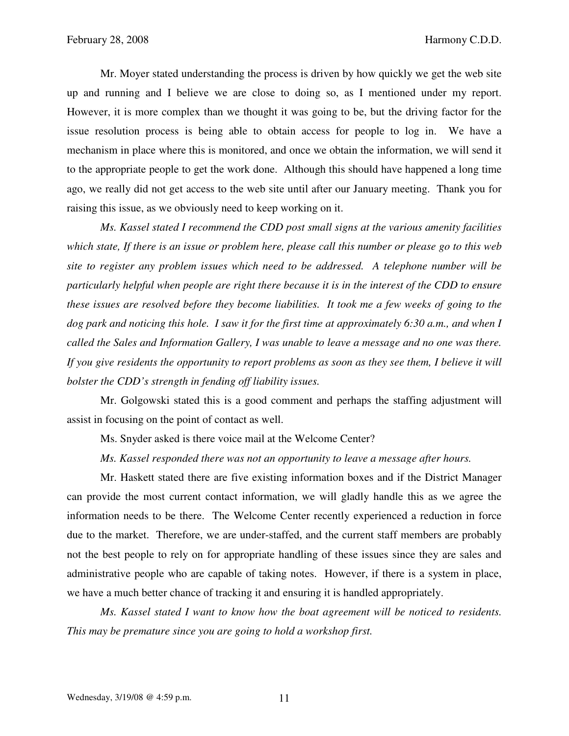Mr. Moyer stated understanding the process is driven by how quickly we get the web site up and running and I believe we are close to doing so, as I mentioned under my report. However, it is more complex than we thought it was going to be, but the driving factor for the issue resolution process is being able to obtain access for people to log in. We have a mechanism in place where this is monitored, and once we obtain the information, we will send it to the appropriate people to get the work done. Although this should have happened a long time ago, we really did not get access to the web site until after our January meeting. Thank you for raising this issue, as we obviously need to keep working on it.

 *Ms. Kassel stated I recommend the CDD post small signs at the various amenity facilities which state, If there is an issue or problem here, please call this number or please go to this web site to register any problem issues which need to be addressed. A telephone number will be particularly helpful when people are right there because it is in the interest of the CDD to ensure these issues are resolved before they become liabilities. It took me a few weeks of going to the dog park and noticing this hole. I saw it for the first time at approximately 6:30 a.m., and when I called the Sales and Information Gallery, I was unable to leave a message and no one was there. If you give residents the opportunity to report problems as soon as they see them, I believe it will bolster the CDD's strength in fending off liability issues.* 

 Mr. Golgowski stated this is a good comment and perhaps the staffing adjustment will assist in focusing on the point of contact as well.

Ms. Snyder asked is there voice mail at the Welcome Center?

 *Ms. Kassel responded there was not an opportunity to leave a message after hours.* 

 Mr. Haskett stated there are five existing information boxes and if the District Manager can provide the most current contact information, we will gladly handle this as we agree the information needs to be there. The Welcome Center recently experienced a reduction in force due to the market. Therefore, we are under-staffed, and the current staff members are probably not the best people to rely on for appropriate handling of these issues since they are sales and administrative people who are capable of taking notes. However, if there is a system in place, we have a much better chance of tracking it and ensuring it is handled appropriately.

*Ms. Kassel stated I want to know how the boat agreement will be noticed to residents. This may be premature since you are going to hold a workshop first.*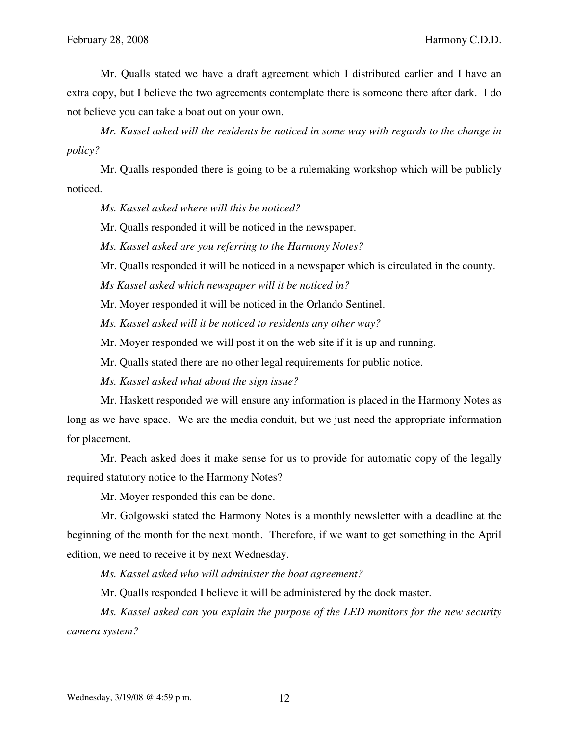Mr. Qualls stated we have a draft agreement which I distributed earlier and I have an extra copy, but I believe the two agreements contemplate there is someone there after dark. I do not believe you can take a boat out on your own.

 *Mr. Kassel asked will the residents be noticed in some way with regards to the change in policy?* 

 Mr. Qualls responded there is going to be a rulemaking workshop which will be publicly noticed.

*Ms. Kassel asked where will this be noticed?* 

Mr. Qualls responded it will be noticed in the newspaper.

 *Ms. Kassel asked are you referring to the Harmony Notes?* 

Mr. Qualls responded it will be noticed in a newspaper which is circulated in the county.

 *Ms Kassel asked which newspaper will it be noticed in?* 

Mr. Moyer responded it will be noticed in the Orlando Sentinel.

 *Ms. Kassel asked will it be noticed to residents any other way?* 

Mr. Moyer responded we will post it on the web site if it is up and running.

Mr. Qualls stated there are no other legal requirements for public notice.

 *Ms. Kassel asked what about the sign issue?* 

 Mr. Haskett responded we will ensure any information is placed in the Harmony Notes as long as we have space. We are the media conduit, but we just need the appropriate information for placement.

 Mr. Peach asked does it make sense for us to provide for automatic copy of the legally required statutory notice to the Harmony Notes?

Mr. Moyer responded this can be done.

 Mr. Golgowski stated the Harmony Notes is a monthly newsletter with a deadline at the beginning of the month for the next month. Therefore, if we want to get something in the April edition, we need to receive it by next Wednesday.

*Ms. Kassel asked who will administer the boat agreement?* 

Mr. Qualls responded I believe it will be administered by the dock master.

 *Ms. Kassel asked can you explain the purpose of the LED monitors for the new security camera system?*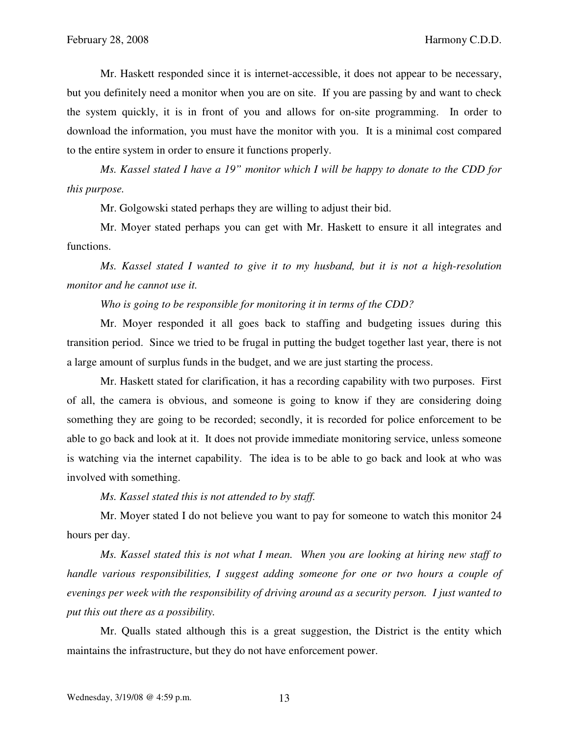Mr. Haskett responded since it is internet-accessible, it does not appear to be necessary, but you definitely need a monitor when you are on site. If you are passing by and want to check the system quickly, it is in front of you and allows for on-site programming. In order to download the information, you must have the monitor with you. It is a minimal cost compared to the entire system in order to ensure it functions properly.

*Ms. Kassel stated I have a 19" monitor which I will be happy to donate to the CDD for this purpose.*

Mr. Golgowski stated perhaps they are willing to adjust their bid.

 Mr. Moyer stated perhaps you can get with Mr. Haskett to ensure it all integrates and functions.

 *Ms. Kassel stated I wanted to give it to my husband, but it is not a high-resolution monitor and he cannot use it.* 

*Who is going to be responsible for monitoring it in terms of the CDD?* 

 Mr. Moyer responded it all goes back to staffing and budgeting issues during this transition period. Since we tried to be frugal in putting the budget together last year, there is not a large amount of surplus funds in the budget, and we are just starting the process.

 Mr. Haskett stated for clarification, it has a recording capability with two purposes. First of all, the camera is obvious, and someone is going to know if they are considering doing something they are going to be recorded; secondly, it is recorded for police enforcement to be able to go back and look at it. It does not provide immediate monitoring service, unless someone is watching via the internet capability. The idea is to be able to go back and look at who was involved with something.

 *Ms. Kassel stated this is not attended to by staff.* 

 Mr. Moyer stated I do not believe you want to pay for someone to watch this monitor 24 hours per day.

 *Ms. Kassel stated this is not what I mean. When you are looking at hiring new staff to handle various responsibilities, I suggest adding someone for one or two hours a couple of evenings per week with the responsibility of driving around as a security person. I just wanted to put this out there as a possibility.* 

 Mr. Qualls stated although this is a great suggestion, the District is the entity which maintains the infrastructure, but they do not have enforcement power.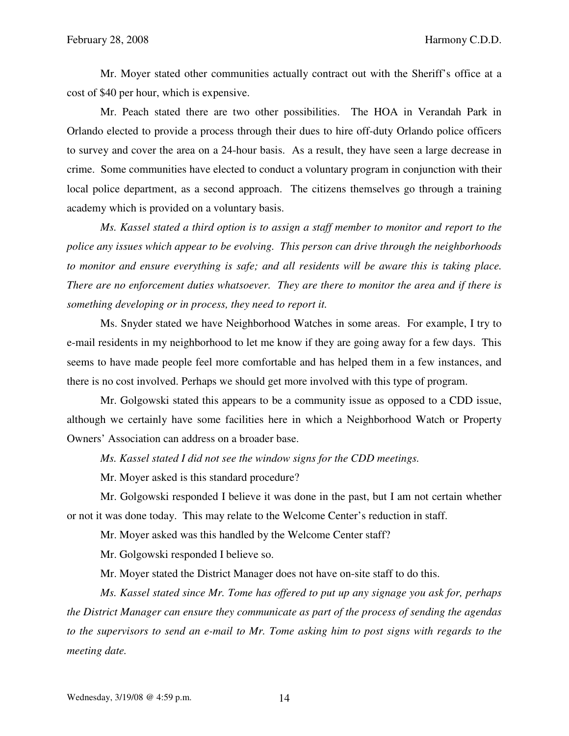Mr. Moyer stated other communities actually contract out with the Sheriff's office at a cost of \$40 per hour, which is expensive.

 Mr. Peach stated there are two other possibilities. The HOA in Verandah Park in Orlando elected to provide a process through their dues to hire off-duty Orlando police officers to survey and cover the area on a 24-hour basis. As a result, they have seen a large decrease in crime. Some communities have elected to conduct a voluntary program in conjunction with their local police department, as a second approach. The citizens themselves go through a training academy which is provided on a voluntary basis.

 *Ms. Kassel stated a third option is to assign a staff member to monitor and report to the police any issues which appear to be evolving. This person can drive through the neighborhoods to monitor and ensure everything is safe; and all residents will be aware this is taking place. There are no enforcement duties whatsoever. They are there to monitor the area and if there is something developing or in process, they need to report it.* 

 Ms. Snyder stated we have Neighborhood Watches in some areas. For example, I try to e-mail residents in my neighborhood to let me know if they are going away for a few days. This seems to have made people feel more comfortable and has helped them in a few instances, and there is no cost involved. Perhaps we should get more involved with this type of program.

 Mr. Golgowski stated this appears to be a community issue as opposed to a CDD issue, although we certainly have some facilities here in which a Neighborhood Watch or Property Owners' Association can address on a broader base.

*Ms. Kassel stated I did not see the window signs for the CDD meetings.* 

Mr. Moyer asked is this standard procedure?

 Mr. Golgowski responded I believe it was done in the past, but I am not certain whether or not it was done today. This may relate to the Welcome Center's reduction in staff.

Mr. Moyer asked was this handled by the Welcome Center staff?

Mr. Golgowski responded I believe so.

Mr. Moyer stated the District Manager does not have on-site staff to do this.

 *Ms. Kassel stated since Mr. Tome has offered to put up any signage you ask for, perhaps the District Manager can ensure they communicate as part of the process of sending the agendas to the supervisors to send an e-mail to Mr. Tome asking him to post signs with regards to the meeting date.*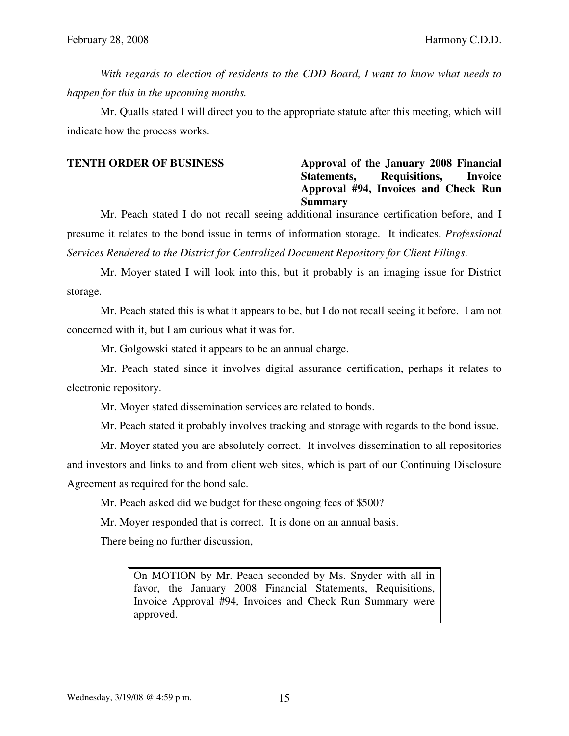*With regards to election of residents to the CDD Board, I want to know what needs to happen for this in the upcoming months.* 

 Mr. Qualls stated I will direct you to the appropriate statute after this meeting, which will indicate how the process works.

# **TENTH ORDER OF BUSINESS Approval of the January 2008 Financial Statements, Requisitions, Invoice Approval #94, Invoices and Check Run Summary**

 Mr. Peach stated I do not recall seeing additional insurance certification before, and I presume it relates to the bond issue in terms of information storage. It indicates, *Professional Services Rendered to the District for Centralized Document Repository for Client Filings*.

 Mr. Moyer stated I will look into this, but it probably is an imaging issue for District storage.

 Mr. Peach stated this is what it appears to be, but I do not recall seeing it before. I am not concerned with it, but I am curious what it was for.

Mr. Golgowski stated it appears to be an annual charge.

 Mr. Peach stated since it involves digital assurance certification, perhaps it relates to electronic repository.

Mr. Moyer stated dissemination services are related to bonds.

Mr. Peach stated it probably involves tracking and storage with regards to the bond issue.

 Mr. Moyer stated you are absolutely correct. It involves dissemination to all repositories and investors and links to and from client web sites, which is part of our Continuing Disclosure Agreement as required for the bond sale.

Mr. Peach asked did we budget for these ongoing fees of \$500?

Mr. Moyer responded that is correct. It is done on an annual basis.

There being no further discussion,

On MOTION by Mr. Peach seconded by Ms. Snyder with all in favor, the January 2008 Financial Statements, Requisitions, Invoice Approval #94, Invoices and Check Run Summary were approved.